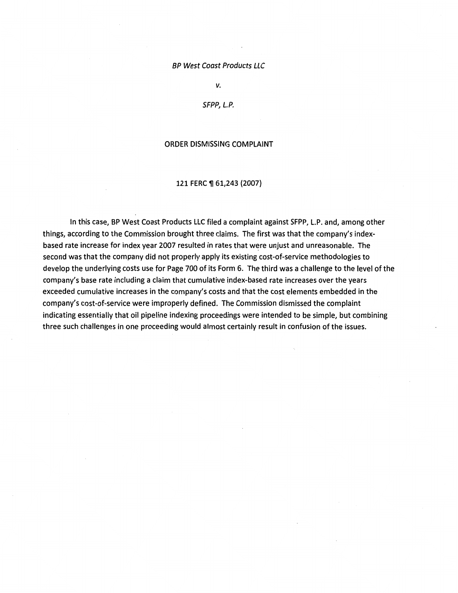#### BP West Coast Products LLC

*v.* 

### SFPP, L.P.

### ORDER DISMISSING COMPLAINT

### 121 FERC ¶ 61,243 (2007)

In this case, BP West Coast Products LLC filed a complaint against SFPP, L.P. and, among other things, according to the Commission brought three claims. The first was that the company's indexbased rate increase for index year 2007 resulted in rates that were unjust and unreasonable. The second was that the company did not properly apply its existing cost-of-service methodologies to develop the underlying costs use for Page 700 of its Form 6. The third was a challenge to the level of the company's base rate including a claim that cumulative index-based rate increases over the years exceeded cumulative increases in the company's costs and that the cost elements embedded in the company's cost-of-service were improperly defined. The Commission dismissed the complaint indicating essentially that oil pipeline indexing proceedings were intended to be simple, but combining three such challenges in one proceeding would almost certainly result in confusion of the issues.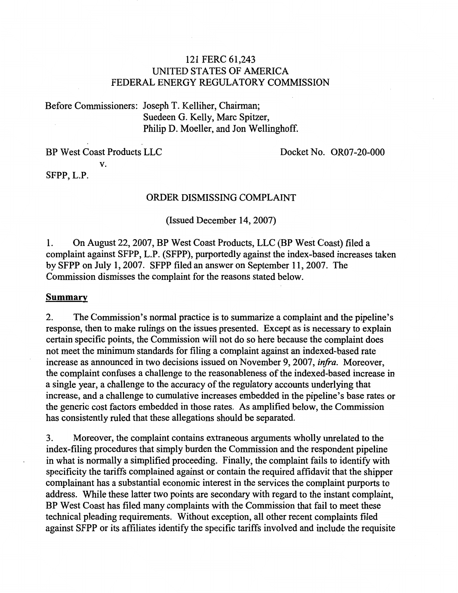# 121 FERC 61,243 UNITED STATES OF AMERICA FEDERAL ENERGY REGULATORY COMMISSION

Before Commissioners: Joseph T. Kelliher, Chairman; Suedeen G. Kelly, Marc Spitzer, Philip D. Moeller, and Jon Wellinghoff.

BP West Coast Products LLC v.

Docket No. OR07-20-000

SFPP, L.P.

# ORDER DISMISSING COMPLAINT

(Issued December 14, 2007)

1. On August 22,2007, BP West Coast Products, LLC (BP West Coast) filed a complaint against SFPP, L.P. (SFPP), purportedly against the index-based increases taken by SFPP on July 1, 2007. SFPP filed an answer on September 11,2007. The Commission dismisses the complaint for the reasons stated below.

## **Summary**

2. The Commission's normal practice is to summarize a complaint and the pipeline's response, then to make rulings on the issues presented. Except as is necessary to explain certain specific points, the Commission will not do so here because the complaint does not meet the minimum standards for filing a complaint against an indexed-based rate increase as announced in two decisions issued on November 9, 2007, *infra.* Moreover, the complaint confuses a challenge to the reasonableness of the indexed-based increase in a single year, a challenge to the accuracy of the regulatory accounts underlying that increase, and a challenge to cumulative increases embedded in the pipeline's base rates or the generic cost factors embedded in those rates. As amplified below, the Commission has consistently ruled that these allegations should be separated.

3. Moreover, the complaint contains extraneous arguments wholly unrelated to the index-filing procedures that simply burden the Commission and the respondent pipeline in what is normally a simplified proceeding. Finally, the complaint fails to identify with specificity the tariffs complained against or contain the required affidavit that the shipper complainant has a substantial economic interest in the services the complaint purports to address. While these latter two points are secondary with regard to the instant complaint, BP West Coast has filed many complaints with the Commission that fail to meet these technical pleading requirements. Without exception, all other recent complaints filed against SFPP or its affiliates identify the specific tariffs involved and include the requisite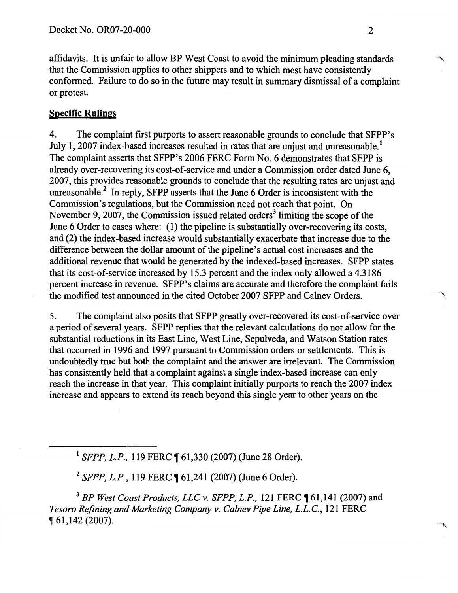affidavits. It is unfair to allow BP West Coast to avoid the minimum pleading standards that the Commission applies to other shippers and to which most have consistently conformed. Failure to do so in the future may result in summary dismissal of a complaint or protest.

# **Specific Rulings**

4. The complaint first purports to assert reasonable grounds to conclude that SFPP's July 1, 2007 index-based increases resulted in rates that are unjust and unreasonable.<sup>1</sup> The complaint asserts that SFPP's 2006 FERC Form No. 6 demonstrates that SFPP is already over-recovering its cost-of-service and under a Commission order dated June 6, 2007, this provides reasonable grounds to conclude that the resulting rates are unjust and unreasonable.<sup>2</sup> In reply, SFPP asserts that the June 6 Order is inconsistent with the Commission's regulations, but the Commission need not reach that point. On November 9, 2007, the Commission issued related orders<sup>3</sup> limiting the scope of the June 6 Order to cases where: (1) the pipeline is substantially over-recovering its costs, and (2) the index-based increase would substantially exacerbate that increase due to the difference between the dollar amount of the pipeline's actual cost increases and the additional revenue that would be generated by the indexed-based increases. SFPP states that its cost-of-service increased by 15.3 percent and the index only allowed a 4.3186 percent increase in revenue. SFPP's claims are accurate and therefore the complaint fails the modified test announced in the cited October 2007 SFPP and Calnev Orders. <sup>1</sup>

5. The complaint also posits that SFPP greatly over-recovered its cost-of-service over a period of several years. SFPP replies that the relevant calculations do not allow for the substantial reductions in its East Line, West Line, Sepulveda, and Watson Station rates that occurred in 1996 and 1997 pursuant to Commission orders or settlements. This is undoubtedly true but both the complaint and the answer are irrelevant. The Commission has consistently held that a complaint against a single index-based increase can only reach the increase in that year. This complaint initially purports to reach the 2007 index increase and appears to extend its reach beyond this single year to other years on the

<sup>1</sup> SFPP, L.P., 119 FERC ¶ 61,330 (2007) (June 28 Order).

<sup>2</sup> SFPP, L.P., 119 FERC ¶ 61,241 (2007) (June 6 Order).

<sup>3</sup> BP West Coast Products, LLC v. SFPP, L.P., 121 FERC ¶ 61,141 (2007) and *Tesoro Refining and Marketing Company v. Calnev Pipe Line, L.L.C.,* 121 FERC  $\P 61,142(2007)$ .

 $\mathcal{L}$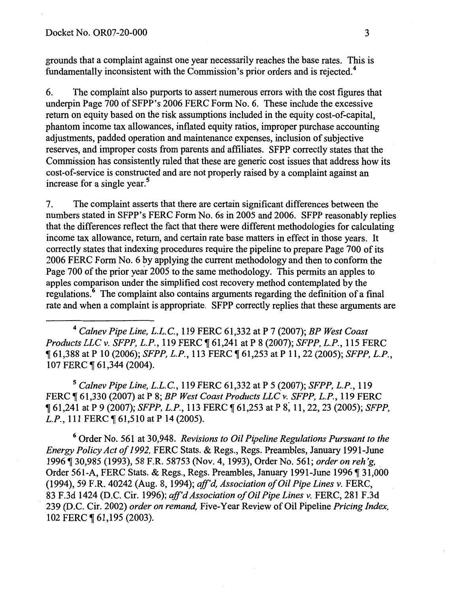grounds that a complaint against one year necessarily reaches the base rates. This is fundamentally inconsistent with the Commission's prior orders and is rejected.4

6. The complaint also purports to assert numerous errors with the cost figures that underpin Page 700 of SFPP's 2006 FERC Form No. 6. These include the excessive return on equity based on the risk assumptions included in the equity cost-of-capital, phantom income tax allowances, inflated equity ratios, improper purchase accounting adjustments, padded operation and maintenance expenses, inclusion of subjective reserves, and improper costs from parents and affiliates. SFPP correctly states that the Commission has consistently ruled that these are generic cost issues that address how its cost-of-service is constructed and are not properly raised by a complaint against an increase for a single year. $5$ 

7. The complaint asserts that there are certain significant differences between the numbers stated in SFPP's FERC Form No. 6s in 2005 and 2006. SFPP reasonably replies that the differences reflect the fact that there were different methodologies for calculating income tax allowance, return, and certain rate base matters in effect in those years. It correctly states that indexing procedures require the pipeline to prepare Page 700 of its 2006 FERC Form No. 6 by applying the current methodology and then to conform the Page 700 of the prior year 2005 to the same methodology. This permits an apples to apples comparison under the simplified cost recovery method contemplated by the regulations. 6 The complaint also contains arguments regarding the defmition of a final rate and when a complaint is appropriate. SFPP correctly replies that these arguments are

<sup>4</sup>*Calnev Pipe Line, L.L.C.,* 119 FERC 61,332 at P 7 (2007); *BP West Coast Products LLC v. SFPP, L.P., 119 FERC*  $\parallel$  61,241 at P 8 (2007); *SFPP, L.P., 115 FERC* <sup>~</sup>61,388 at P 10 (2006); *SFPP, L.P.,* 113 FERC ~ 61,253 at P 11,22 (2005); *SFPP, L.P.,*  107 FERC ¶ 61,344 (2004).

5 *Calnev Pipe Line, L.L.C.,* 119 FERC 61,332 at P 5 (2007); *SFPP, L.P.,* 119 FERC ~ 61,330 (2007) at P 8; *BP West Coast Products LLC v. SFPP, L.P.,* 119 FERC <sup>~</sup>61,241 at P 9 (2007); *SFPP, L.P.,* 113 FERC ~ 61,253 at P s: 11, 22, 23 (2005); *SFPP, L.P.*, 111 FERC ¶ 61,510 at P 14 (2005).

6 Order No. 561 at 30,948. *Revisions to Oil Pipeline Regulations Pursuant to the Energy Policy Act of 1992,* FERC Stats. & Regs., Regs. Preambles, January 1991-June 1996 ~ 30,985 (1993), 58 F.R. 58753 (Nov. 4, 1993), Order No. 561; *order on reh 'g,* . Order 561-A, FERC Stats. & Regs., Regs. Preambles, January 1991-June 1996 ¶ 31,000 (1994), 59 F.R. 40242 (Aug. 8, 1994); *aff'd, Association of Oil Pipe Lines v.* FERC, 83 F.3d 1424 (D.C. Cir. 1996); *aff'd Association of Oil Pipe Lines v.* FERC, 281 F.3d 239 (D.C. Cir. 2002) *order on remand,* Five-Year Review of Oil Pipeline *Pricing Index,*  102 FERC ¶ 61,195 (2003).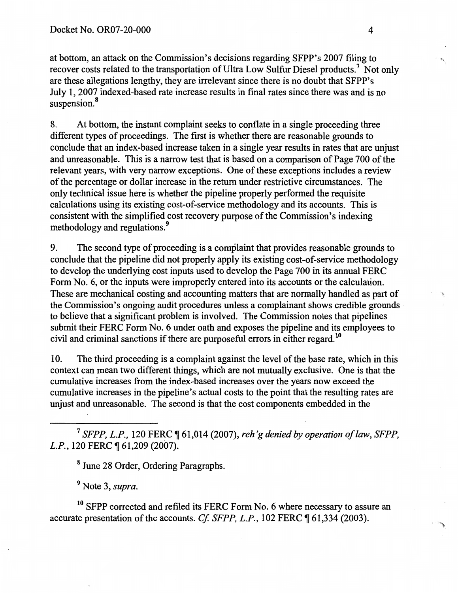at bottom, an attack on the Commission's decisions regarding SFPP's 2007 filing to recover costs related to the transportation of Ultra Low Sulfur Diesel products.7 Not only are these allegations lengthy, they are irrelevant since there is no doubt that SFPP's July 1, 2007 indexed-based rate increase results in final rates since there was and is no suspension.<sup>8</sup>

8. At bottom, the instant complaint seeks to conflate in a single proceeding three different types of proceedings. The first is whether there are reasonable grounds to conclude that an index-based increase taken in a single year results in rates that are unjust and unreasonable. This is a narrow test that is based on a comparison of Page 700 of the relevant years, with very narrow exceptions. One of these exceptions includes a review of the percentage or dollar increase in the return under restrictive circumstances. The only technical issue here is whether the pipeline properly performed the requisite calculations using its existing cost-of-service methodology and its accounts. This is consistent with the simplified cost recovery purpose of the Commission's indexing methodology and regulations.<sup>9</sup>

9. The second type of proceeding is a complaint that provides reasonable grounds to conclude that the pipeline did not properly apply its existing cost-of-service methodology to develop the underlying cost inputs used to develop the Page 700 in its annual FERC Form No.6, or the inputs were improperly entered into its accounts or the calculation. These are mechanical costing and accounting matters that are normally handled as part of the Commission's ongoing audit procedures unless a complainant shows credible grounds to believe that a significant problem is involved. The Commission notes that pipelines submit their FERC Form No. 6 under oath and exposes the pipeline and its employees to civil and criminal sanctions if there are purposeful errors in either regard. <sup>10</sup>

10. The third proceeding is a complaint against the level of the base rate, which in this context can mean two different things, which are not mutually exclusive. One is that the cumulative increases from the index -based increases over the years now exceed the cumulative increases in the pipeline's actual costs to the point that the resulting rates are unjust and unreasonable. The second is that the cost components embedded in the

<sup>7</sup> SFPP, L.P., 120 FERC ¶ 61,014 (2007), *reh'g denied by operation of law, SFPP*. *L.P.*, 120 FERC ¶ 61,209 (2007).

8 June 28 Order, Ordering Paragraphs.

9 Note 3, *supra.* 

<sup>10</sup> SFPP corrected and refiled its FERC Form No. 6 where necessary to assure an accurate presentation of the accounts. *Cf. SFPP, L.P.*, 102 FERC  $\parallel$  61,334 (2003).

 $\mathcal{L}$ 

I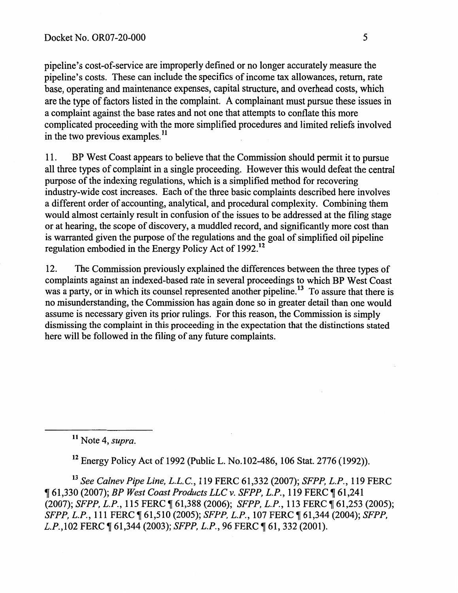pipeline's cost-of-service are improperly defined or no longer accurately measure the pipeline's costs. These can include the specifics of income tax allowances, return, rate base, operating and maintenance expenses, capital structure, and overhead costs, which are the type of factors listed in the complaint. A complainant must pursue these issues in a complaint against the base rates and not one that attempts to conflate this more complicated proceeding with the more simplified procedures and limited reliefs involved in the two previous examples.<sup>11</sup>

11. BP West Coast appears to believe that the Commission should permit it to pursue all three types of complaint in a single proceeding. However this would defeat the central purpose of the indexing regulations, which is a simplified method for recovering industry-wide cost increases. Each of the three basic complaints described here involves a different order of accounting, analytical, and procedural complexity. Combining them would almost certainly result in confusion of the issues to be addressed at the filing stage or at hearing, the scope of discovery, a muddled record, and significantly more cost than is warranted given the purpose of the regulations and the goal of simplified oil pipeline regulation embodied in the Energy Policy Act of 1992.<sup>12</sup>

12. The Commission previously explained the differences between the three types of complaints against an indexed-based rate in several proceedings to which BP West Coast was a party, or in which its counsel represented another pipeline.<sup>13</sup> To assure that there is no misunderstanding, the Commission has again done so in greater detail than one would assume is necessary given its prior rulings. For this reason, the Commission is simply dismissing the complaint in this proceeding in the expectation that the distinctions stated here will be followed in the filing of any future complaints.

<sup>11</sup> Note 4, *supra*.

12 Energy Policy Act of 1992 (Public L. No.l02-486, 106 Stat. 2776 (1992)).

<sup>13</sup>*See Calnev Pipe Line, L.L.C.,* 119 FERC 61,332 (2007); *SFPP, L.P.,* 119 FERC <sup>~</sup>61,330 (2007); *BP West Coast Products LLC v. SFPP, L.P.,* 119 FERC ~ 61,241 (2007); *SFPP, L.P., 115 FERC*  $\P$  61,388 (2006); *SFPP, L.P., 113 FERC*  $\P$  61,253 (2005); *SFPP, L.P., 111 FERC*  $\parallel$  61,510 (2005); *SFPP, L.P., 107 FERC*  $\parallel$  61,344 (2004); *SFPP, L.P.*,102 FERC ¶ 61,344 (2003); *SFPP, L.P.*, 96 FERC ¶ 61, 332 (2001).